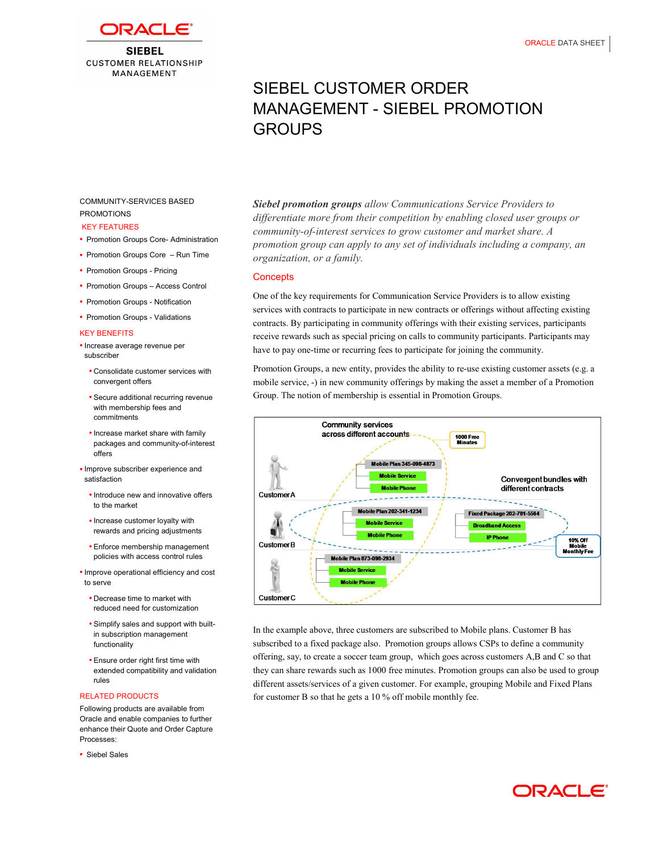

**SIEBEL CUSTOMER RELATIONSHIP** MANAGEMENT

# SIEBEL CUSTOMER ORDER MANAGEMENT - SIEBEL PROMOTION GROUPS

# COMMUNITY-SERVICES BASED PROMOTIONS

#### KEY FEATURES

- Promotion Groups Core- Administration
- Promotion Groups Core Run Time
- Promotion Groups Pricing
- Promotion Groups Access Control
- Promotion Groups Notification
- Promotion Groups Validations

#### KEY BENEFITS

- Increase average revenue per subscriber
- Consolidate customer services with convergent offers
- Secure additional recurring revenue with membership fees and commitments
- Increase market share with family packages and community-of-interest offers
- Improve subscriber experience and satisfaction
	- Introduce new and innovative offers to the market
	- Increase customer loyalty with rewards and pricing adjustments
	- policies with access control rules Enforce membership management
- Improve operational efficiency and cost to serve
	- Decrease time to market with reduced need for customization
	- Simplify sales and support with builtin subscription management functionality
	- Ensure order right first time with extended compatibility and validation rules

#### RELATED PRODUCTS

 Following products are available from Oracle and enable companies to further enhance their Quote and Order Capture Processes:

Siebel Sales

Siebel promotion groups allow Communications Service Providers to differentiate more from their competition by enabling closed user groups or community-of-interest services to grow customer and market share. A promotion group can apply to any set of individuals including a company, an organization, or a family.

## **Concepts**

 One of the key requirements for Communication Service Providers is to allow existing services with contracts to participate in new contracts or offerings without affecting existing contracts. By participating in community offerings with their existing services, participants receive rewards such as special pricing on calls to community participants. Participants may have to pay one-time or recurring fees to participate for joining the community.

 Promotion Groups, a new entity, provides the ability to re-use existing customer assets (e.g. a mobile service, -) in new community offerings by making the asset a member of a Promotion Group. The notion of membership is essential in Promotion Groups.



 In the example above, three customers are subscribed to Mobile plans. Customer B has subscribed to a fixed package also. Promotion groups allows CSPs to define a community offering, say, to create a soccer team group, which goes across customers A,B and C so that they can share rewards such as 1000 free minutes. Promotion groups can also be used to group different assets/services of a given customer. For example, grouping Mobile and Fixed Plans for customer B so that he gets a 10 % off mobile monthly fee.

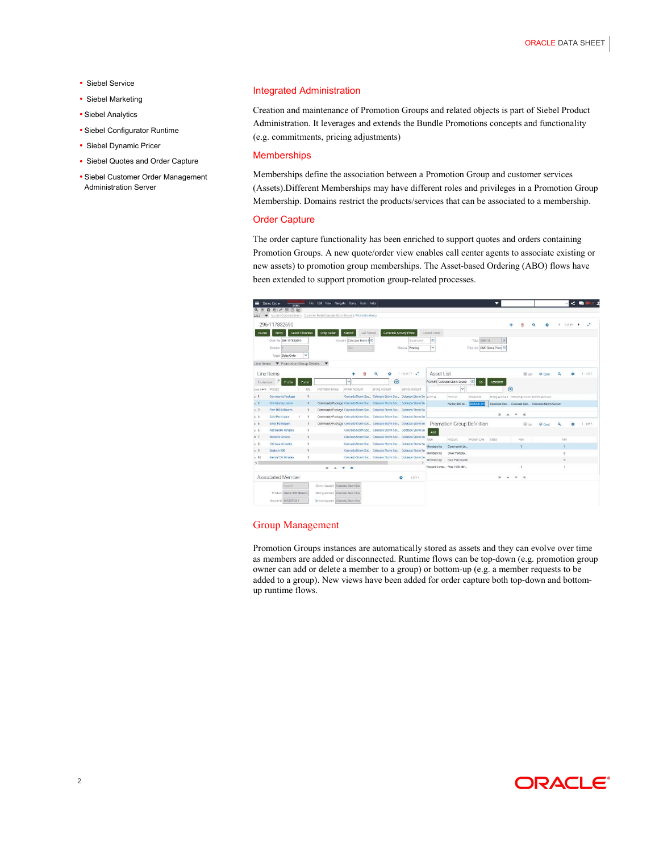- Siebel Service
- Siebel Marketing
- Siebel Analytics
- Siebel Configurator Runtime
- Siebel Dynamic Pricer
- Siebel Quotes and Order Capture
- Siebel Customer Order Management Administration Server

#### Integrated Administration

 Creation and maintenance of Promotion Groups and related objects is part of Siebel Product Administration. It leverages and extends the Bundle Promotions concepts and functionality (e.g. commitments, pricing adjustments)

### **Memberships**

 Memberships define the association between a Promotion Group and customer services (Assets).Different Memberships may have different roles and privileges in a Promotion Group Membership. Domains restrict the products/services that can be associated to a membership.

#### Order Capture

 The order capture functionality has been enriched to support quotes and orders containing Promotion Groups. A new quote/order view enables call center agents to associate existing or new assets) to promotion group memberships. The Asset-based Ordering (ABO) flows have been extended to support promotion group-related processes.



## Group Management

 Promotion Groups instances are automatically stored as assets and they can evolve over time as members are added or disconnected. Runtime flows can be top-down (e.g. promotion group owner can add or delete a member to a group) or bottom-up (e.g. a member requests to be added to a group). New views have been added for order capture both top-down and bottom-up runtime flows.